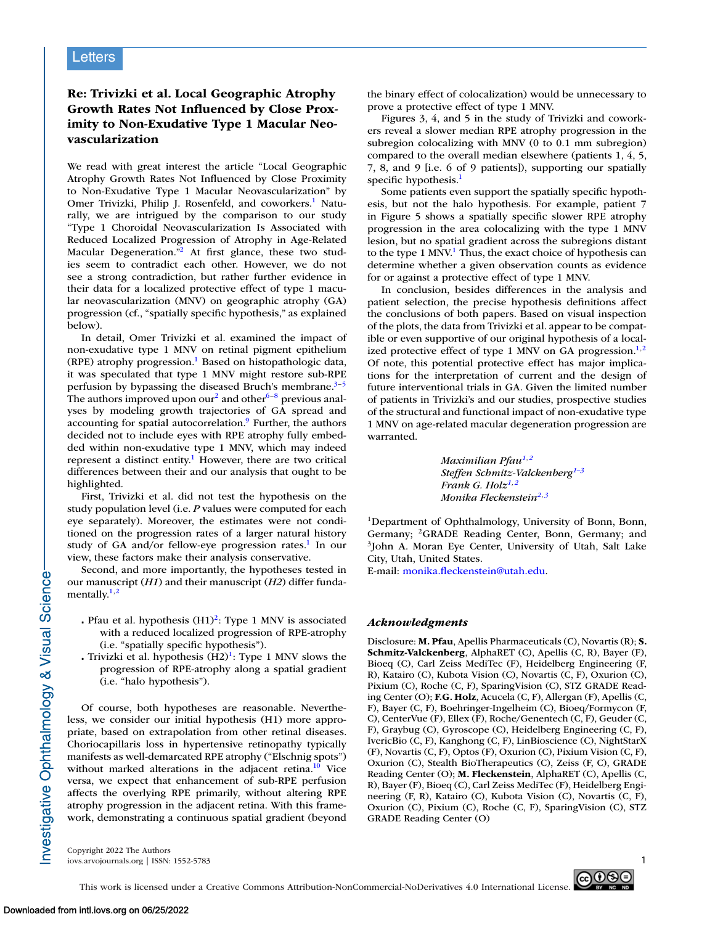## **Re: Trivizki et al. Local Geographic Atrophy Growth Rates Not Influenced by Close Proximity to Non-Exudative Type 1 Macular Neovascularization**

We read with great interest the article "Local Geographic Atrophy Growth Rates Not Influenced by Close Proximity to Non-Exudative Type 1 Macular Neovascularization" by Omer Trivizki, Philip J. Rosenfeld, and coworkers.<sup>1</sup> Naturally, we are intrigued by the comparison to our study "Type 1 Choroidal Neovascularization Is Associated with Reduced Localized Progression of Atrophy in Age-Related Macular Degeneration."<sup>2</sup> At first glance, these two studies seem to contradict each other. However, we do not see a strong contradiction, but rather further evidence in their data for a localized protective effect of type 1 macular neovascularization (MNV) on geographic atrophy (GA) progression (cf., "spatially specific hypothesis," as explained below).

In detail, Omer Trivizki et al. examined the impact of non-exudative type 1 MNV on retinal pigment epithelium (RPE) atrophy progression.<sup>1</sup> Based on histopathologic data, it was speculated that type 1 MNV might restore sub-RPE perfusion by bypassing the diseased Bruch's membrane. $3-5$ The authors improved upon our<sup>2</sup> and other<sup>[6–8](#page-1-0)</sup> previous analyses by modeling growth trajectories of GA spread and accounting for spatial autocorrelation.<sup>9</sup> Further, the authors decided not to include eyes with RPE atrophy fully embedded within non-exudative type 1 MNV, which may indeed represent a distinct entity.<sup>1</sup> However, there are two critical differences between their and our analysis that ought to be highlighted.

First, Trivizki et al. did not test the hypothesis on the study population level (i.e. *P* values were computed for each eye separately). Moreover, the estimates were not conditioned on the progression rates of a larger natural history study of GA and/or fellow-eye progression rates.<sup>1</sup> In our view, these factors make their analysis conservative.

Second, and more importantly, the hypotheses tested in our manuscript (*H1*) and their manuscript (*H2*) differ fundamentally. $1,2$ 

- . Pfau et al. hypothesis (H1)<sup>2</sup>: Type 1 MNV is associated with a reduced localized progression of RPE-atrophy (i.e. "spatially specific hypothesis").
- Trivizki et al. hypothesis  $(H2)^{1}$ : Type 1 MNV slows the progression of RPE-atrophy along a spatial gradient (i.e. "halo hypothesis").

Of course, both hypotheses are reasonable. Nevertheless, we consider our initial hypothesis (H1) more appropriate, based on extrapolation from other retinal diseases. Choriocapillaris loss in hypertensive retinopathy typically manifests as well-demarcated RPE atrophy ("Elschnig spots") without marked alterations in the adjacent retina. $10$  Vice versa, we expect that enhancement of sub-RPE perfusion affects the overlying RPE primarily, without altering RPE atrophy progression in the adjacent retina. With this framework, demonstrating a continuous spatial gradient (beyond the binary effect of colocalization) would be unnecessary to prove a protective effect of type 1 MNV.

Figures 3, 4, and 5 in the study of Trivizki and coworkers reveal a slower median RPE atrophy progression in the subregion colocalizing with MNV (0 to 0.1 mm subregion) compared to the overall median elsewhere (patients 1, 4, 5, 7, 8, and 9 [i.e. 6 of 9 patients]), supporting our spatially specific hypothesis.<sup>1</sup>

Some patients even support the spatially specific hypothesis, but not the halo hypothesis. For example, patient 7 in Figure 5 shows a spatially specific slower RPE atrophy progression in the area colocalizing with the type 1 MNV lesion, but no spatial gradient across the subregions distant to the type 1 MNV.<sup>1</sup> Thus, the exact choice of hypothesis can determine whether a given observation counts as evidence for or against a protective effect of type 1 MNV.

In conclusion, besides differences in the analysis and patient selection, the precise hypothesis definitions affect the conclusions of both papers. Based on visual inspection of the plots, the data from Trivizki et al. appear to be compatible or even supportive of our original hypothesis of a localized protective effect of type 1 MNV on GA progression. $1,2$ Of note, this potential protective effect has major implications for the interpretation of current and the design of future interventional trials in GA. Given the limited number of patients in Trivizki's and our studies, prospective studies of the structural and functional impact of non-exudative type 1 MNV on age-related macular degeneration progression are warranted.

> *Maximilian Pfau1,2 Steffen Schmitz-Valckenberg1–3 Frank G. Holz1,2 Monika Fleckenstein2,3*

1Department of Ophthalmology, University of Bonn, Bonn, Germany; <sup>2</sup>GRADE Reading Center, Bonn, Germany; and 3John A. Moran Eye Center, University of Utah, Salt Lake City, Utah, United States.

E-mail: [monika.fleckenstein@utah.edu.](mailto:monika.fleckenstein@utah.edu)

## *Acknowledgments*

Disclosure: **M. Pfau**, Apellis Pharmaceuticals (C), Novartis (R); **S. Schmitz-Valckenberg**, AlphaRET (C), Apellis (C, R), Bayer (F), Bioeq (C), Carl Zeiss MediTec (F), Heidelberg Engineering (F, R), Katairo (C), Kubota Vision (C), Novartis (C, F), Oxurion (C), Pixium (C), Roche (C, F), SparingVision (C), STZ GRADE Reading Center (O); **F.G. Holz**, Acucela (C, F), Allergan (F), Apellis (C, F), Bayer (C, F), Boehringer-Ingelheim (C), Bioeq/Formycon (F, C), CenterVue (F), Ellex (F), Roche/Genentech (C, F), Geuder (C, F), Graybug (C), Gyroscope (C), Heidelberg Engineering (C, F), IvericBio (C, F), Kanghong (C, F), LinBioscience (C), NightStarX (F), Novartis (C, F), Optos (F), Oxurion (C), Pixium Vision (C, F), Oxurion (C), Stealth BioTherapeutics (C), Zeiss (F, C), GRADE Reading Center (O); **M. Fleckenstein**, AlphaRET (C), Apellis (C, R), Bayer (F), Bioeq (C), Carl Zeiss MediTec (F), Heidelberg Engineering (F, R), Katairo (C), Kubota Vision (C), Novartis (C, F), Oxurion (C), Pixium (C), Roche (C, F), SparingVision (C), STZ GRADE Reading Center (O)

Copyright 2022 The Authors iovs.arvojournals.org | ISSN: 1552-5783 1



Investigative Ophthalmology & Visual Science